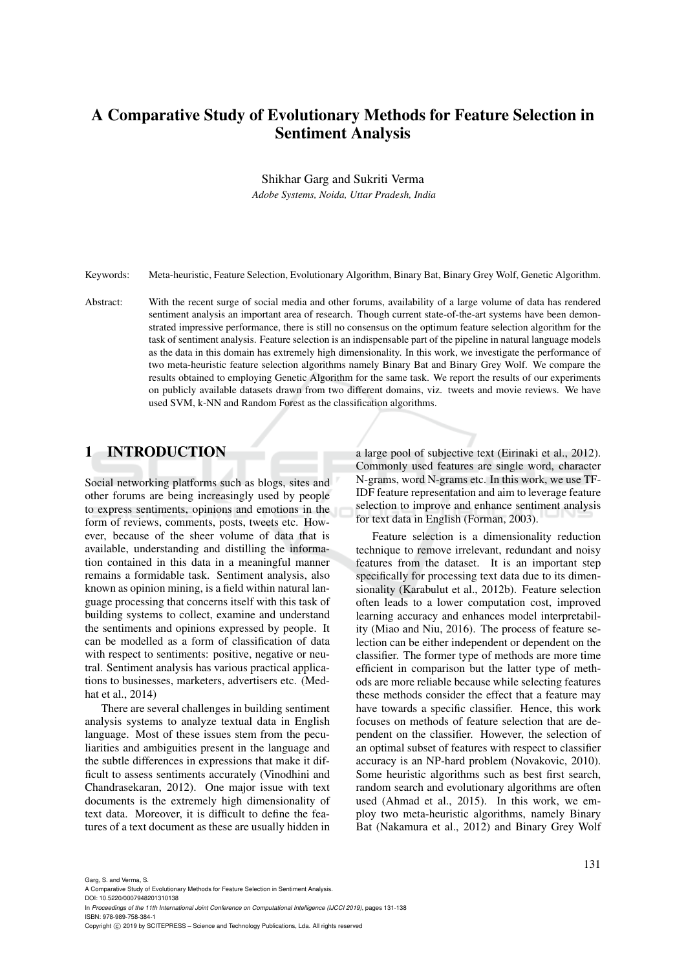# A Comparative Study of Evolutionary Methods for Feature Selection in Sentiment Analysis

Shikhar Garg and Sukriti Verma

*Adobe Systems, Noida, Uttar Pradesh, India*

Keywords: Meta-heuristic, Feature Selection, Evolutionary Algorithm, Binary Bat, Binary Grey Wolf, Genetic Algorithm.

Abstract: With the recent surge of social media and other forums, availability of a large volume of data has rendered sentiment analysis an important area of research. Though current state-of-the-art systems have been demonstrated impressive performance, there is still no consensus on the optimum feature selection algorithm for the task of sentiment analysis. Feature selection is an indispensable part of the pipeline in natural language models as the data in this domain has extremely high dimensionality. In this work, we investigate the performance of two meta-heuristic feature selection algorithms namely Binary Bat and Binary Grey Wolf. We compare the results obtained to employing Genetic Algorithm for the same task. We report the results of our experiments on publicly available datasets drawn from two different domains, viz. tweets and movie reviews. We have used SVM, k-NN and Random Forest as the classification algorithms.

## 1 INTRODUCTION

Social networking platforms such as blogs, sites and other forums are being increasingly used by people to express sentiments, opinions and emotions in the form of reviews, comments, posts, tweets etc. However, because of the sheer volume of data that is available, understanding and distilling the information contained in this data in a meaningful manner remains a formidable task. Sentiment analysis, also known as opinion mining, is a field within natural language processing that concerns itself with this task of building systems to collect, examine and understand the sentiments and opinions expressed by people. It can be modelled as a form of classification of data with respect to sentiments: positive, negative or neutral. Sentiment analysis has various practical applications to businesses, marketers, advertisers etc. (Medhat et al., 2014)

There are several challenges in building sentiment analysis systems to analyze textual data in English language. Most of these issues stem from the peculiarities and ambiguities present in the language and the subtle differences in expressions that make it difficult to assess sentiments accurately (Vinodhini and Chandrasekaran, 2012). One major issue with text documents is the extremely high dimensionality of text data. Moreover, it is difficult to define the features of a text document as these are usually hidden in

a large pool of subjective text (Eirinaki et al., 2012). Commonly used features are single word, character N-grams, word N-grams etc. In this work, we use TF-IDF feature representation and aim to leverage feature selection to improve and enhance sentiment analysis for text data in English (Forman, 2003).

Feature selection is a dimensionality reduction technique to remove irrelevant, redundant and noisy features from the dataset. It is an important step specifically for processing text data due to its dimensionality (Karabulut et al., 2012b). Feature selection often leads to a lower computation cost, improved learning accuracy and enhances model interpretability (Miao and Niu, 2016). The process of feature selection can be either independent or dependent on the classifier. The former type of methods are more time efficient in comparison but the latter type of methods are more reliable because while selecting features these methods consider the effect that a feature may have towards a specific classifier. Hence, this work focuses on methods of feature selection that are dependent on the classifier. However, the selection of an optimal subset of features with respect to classifier accuracy is an NP-hard problem (Novakovic, 2010). Some heuristic algorithms such as best first search, random search and evolutionary algorithms are often used (Ahmad et al., 2015). In this work, we employ two meta-heuristic algorithms, namely Binary Bat (Nakamura et al., 2012) and Binary Grey Wolf

Garg, S. and Verma, S.

A Comparative Study of Evolutionary Methods for Feature Selection in Sentiment Analysis.

DOI: 10.5220/0007948201310138 In *Proceedings of the 11th International Joint Conference on Computational Intelligence (IJCCI 2019)*, pages 131-138

ISBN: 978-989-758-384-1

Copyright (C) 2019 by SCITEPRESS - Science and Technology Publications, Lda. All rights reserved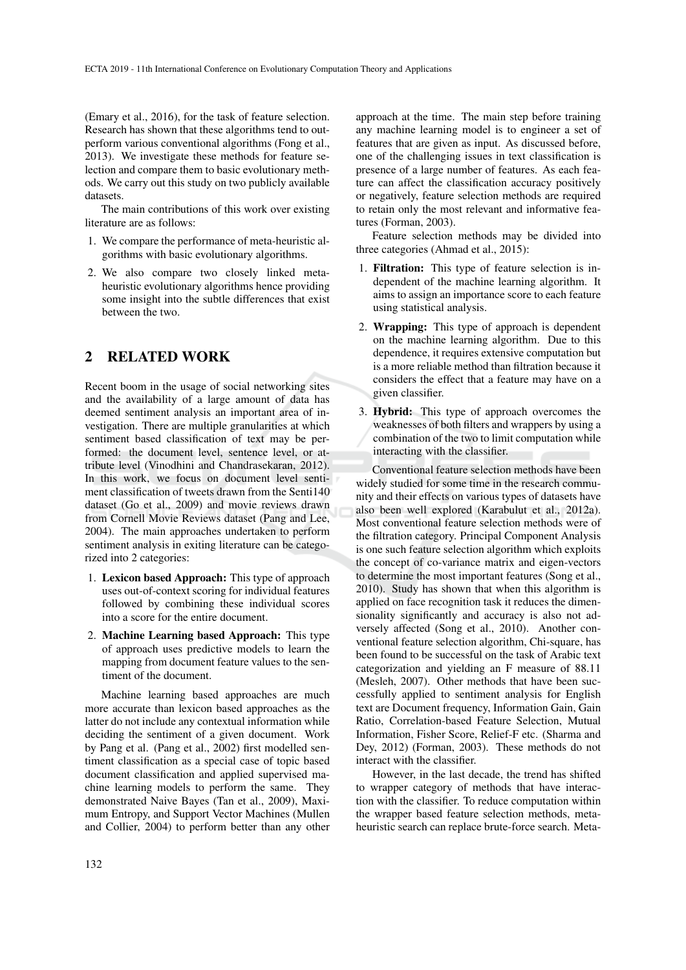(Emary et al., 2016), for the task of feature selection. Research has shown that these algorithms tend to outperform various conventional algorithms (Fong et al., 2013). We investigate these methods for feature selection and compare them to basic evolutionary methods. We carry out this study on two publicly available datasets.

The main contributions of this work over existing literature are as follows:

- 1. We compare the performance of meta-heuristic algorithms with basic evolutionary algorithms.
- 2. We also compare two closely linked metaheuristic evolutionary algorithms hence providing some insight into the subtle differences that exist between the two.

### 2 RELATED WORK

Recent boom in the usage of social networking sites and the availability of a large amount of data has deemed sentiment analysis an important area of investigation. There are multiple granularities at which sentiment based classification of text may be performed: the document level, sentence level, or attribute level (Vinodhini and Chandrasekaran, 2012). In this work, we focus on document level sentiment classification of tweets drawn from the Senti140 dataset (Go et al., 2009) and movie reviews drawn from Cornell Movie Reviews dataset (Pang and Lee, 2004). The main approaches undertaken to perform sentiment analysis in exiting literature can be categorized into 2 categories:

- 1. Lexicon based Approach: This type of approach uses out-of-context scoring for individual features followed by combining these individual scores into a score for the entire document.
- 2. Machine Learning based Approach: This type of approach uses predictive models to learn the mapping from document feature values to the sentiment of the document.

Machine learning based approaches are much more accurate than lexicon based approaches as the latter do not include any contextual information while deciding the sentiment of a given document. Work by Pang et al. (Pang et al., 2002) first modelled sentiment classification as a special case of topic based document classification and applied supervised machine learning models to perform the same. They demonstrated Naive Bayes (Tan et al., 2009), Maximum Entropy, and Support Vector Machines (Mullen and Collier, 2004) to perform better than any other

approach at the time. The main step before training any machine learning model is to engineer a set of features that are given as input. As discussed before, one of the challenging issues in text classification is presence of a large number of features. As each feature can affect the classification accuracy positively or negatively, feature selection methods are required to retain only the most relevant and informative features (Forman, 2003).

Feature selection methods may be divided into three categories (Ahmad et al., 2015):

- 1. Filtration: This type of feature selection is independent of the machine learning algorithm. It aims to assign an importance score to each feature using statistical analysis.
- 2. Wrapping: This type of approach is dependent on the machine learning algorithm. Due to this dependence, it requires extensive computation but is a more reliable method than filtration because it considers the effect that a feature may have on a given classifier.
- 3. Hybrid: This type of approach overcomes the weaknesses of both filters and wrappers by using a combination of the two to limit computation while interacting with the classifier.

Conventional feature selection methods have been widely studied for some time in the research community and their effects on various types of datasets have also been well explored (Karabulut et al., 2012a). Most conventional feature selection methods were of the filtration category. Principal Component Analysis is one such feature selection algorithm which exploits the concept of co-variance matrix and eigen-vectors to determine the most important features (Song et al., 2010). Study has shown that when this algorithm is applied on face recognition task it reduces the dimensionality significantly and accuracy is also not adversely affected (Song et al., 2010). Another conventional feature selection algorithm, Chi-square, has been found to be successful on the task of Arabic text categorization and yielding an F measure of 88.11 (Mesleh, 2007). Other methods that have been successfully applied to sentiment analysis for English text are Document frequency, Information Gain, Gain Ratio, Correlation-based Feature Selection, Mutual Information, Fisher Score, Relief-F etc. (Sharma and Dey, 2012) (Forman, 2003). These methods do not interact with the classifier.

However, in the last decade, the trend has shifted to wrapper category of methods that have interaction with the classifier. To reduce computation within the wrapper based feature selection methods, metaheuristic search can replace brute-force search. Meta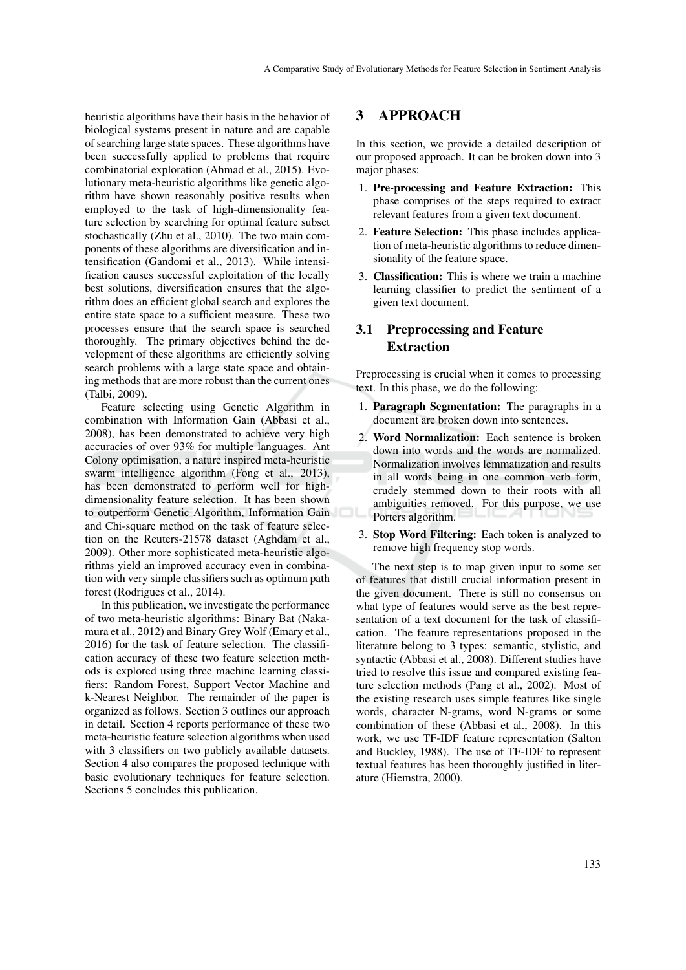heuristic algorithms have their basis in the behavior of biological systems present in nature and are capable of searching large state spaces. These algorithms have been successfully applied to problems that require combinatorial exploration (Ahmad et al., 2015). Evolutionary meta-heuristic algorithms like genetic algorithm have shown reasonably positive results when employed to the task of high-dimensionality feature selection by searching for optimal feature subset stochastically (Zhu et al., 2010). The two main components of these algorithms are diversification and intensification (Gandomi et al., 2013). While intensification causes successful exploitation of the locally best solutions, diversification ensures that the algorithm does an efficient global search and explores the entire state space to a sufficient measure. These two processes ensure that the search space is searched thoroughly. The primary objectives behind the development of these algorithms are efficiently solving search problems with a large state space and obtaining methods that are more robust than the current ones (Talbi, 2009).

Feature selecting using Genetic Algorithm in combination with Information Gain (Abbasi et al., 2008), has been demonstrated to achieve very high accuracies of over 93% for multiple languages. Ant Colony optimisation, a nature inspired meta-heuristic swarm intelligence algorithm (Fong et al., 2013), has been demonstrated to perform well for highdimensionality feature selection. It has been shown to outperform Genetic Algorithm, Information Gain and Chi-square method on the task of feature selection on the Reuters-21578 dataset (Aghdam et al., 2009). Other more sophisticated meta-heuristic algorithms yield an improved accuracy even in combination with very simple classifiers such as optimum path forest (Rodrigues et al., 2014).

In this publication, we investigate the performance of two meta-heuristic algorithms: Binary Bat (Nakamura et al., 2012) and Binary Grey Wolf (Emary et al., 2016) for the task of feature selection. The classification accuracy of these two feature selection methods is explored using three machine learning classifiers: Random Forest, Support Vector Machine and k-Nearest Neighbor. The remainder of the paper is organized as follows. Section 3 outlines our approach in detail. Section 4 reports performance of these two meta-heuristic feature selection algorithms when used with 3 classifiers on two publicly available datasets. Section 4 also compares the proposed technique with basic evolutionary techniques for feature selection. Sections 5 concludes this publication.

## 3 APPROACH

In this section, we provide a detailed description of our proposed approach. It can be broken down into 3 major phases:

- 1. Pre-processing and Feature Extraction: This phase comprises of the steps required to extract relevant features from a given text document.
- 2. Feature Selection: This phase includes application of meta-heuristic algorithms to reduce dimensionality of the feature space.
- 3. Classification: This is where we train a machine learning classifier to predict the sentiment of a given text document.

## 3.1 Preprocessing and Feature Extraction

Preprocessing is crucial when it comes to processing text. In this phase, we do the following:

- 1. Paragraph Segmentation: The paragraphs in a document are broken down into sentences.
- 2. Word Normalization: Each sentence is broken down into words and the words are normalized. Normalization involves lemmatization and results in all words being in one common verb form, crudely stemmed down to their roots with all ambiguities removed. For this purpose, we use Porters algorithm.
- 3. Stop Word Filtering: Each token is analyzed to remove high frequency stop words.

The next step is to map given input to some set of features that distill crucial information present in the given document. There is still no consensus on what type of features would serve as the best representation of a text document for the task of classification. The feature representations proposed in the literature belong to 3 types: semantic, stylistic, and syntactic (Abbasi et al., 2008). Different studies have tried to resolve this issue and compared existing feature selection methods (Pang et al., 2002). Most of the existing research uses simple features like single words, character N-grams, word N-grams or some combination of these (Abbasi et al., 2008). In this work, we use TF-IDF feature representation (Salton and Buckley, 1988). The use of TF-IDF to represent textual features has been thoroughly justified in literature (Hiemstra, 2000).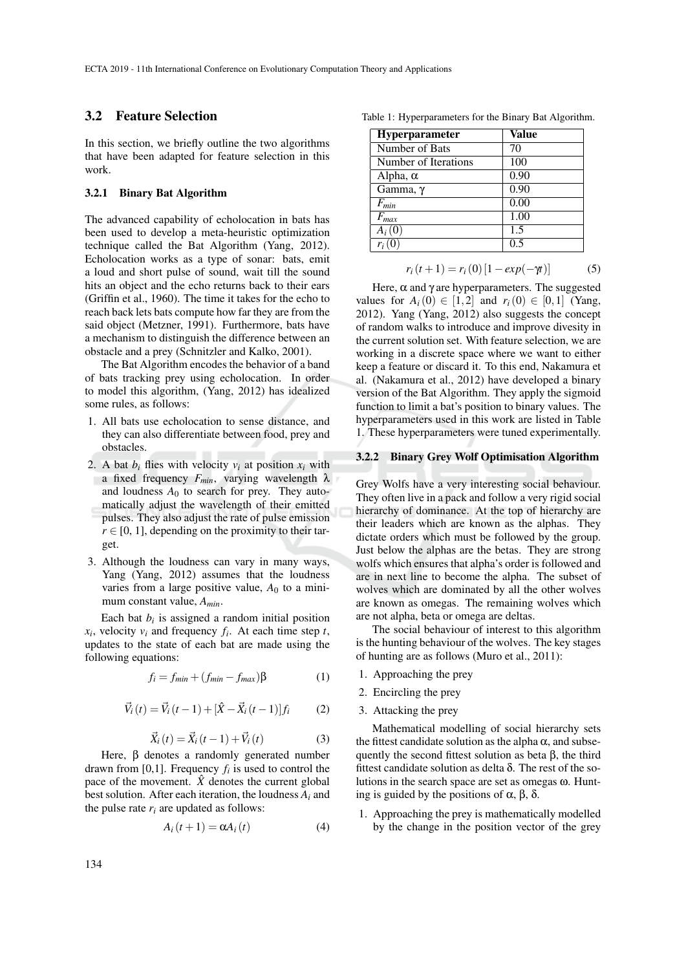### 3.2 Feature Selection

In this section, we briefly outline the two algorithms that have been adapted for feature selection in this work.

#### 3.2.1 Binary Bat Algorithm

The advanced capability of echolocation in bats has been used to develop a meta-heuristic optimization technique called the Bat Algorithm (Yang, 2012). Echolocation works as a type of sonar: bats, emit a loud and short pulse of sound, wait till the sound hits an object and the echo returns back to their ears (Griffin et al., 1960). The time it takes for the echo to reach back lets bats compute how far they are from the said object (Metzner, 1991). Furthermore, bats have a mechanism to distinguish the difference between an obstacle and a prey (Schnitzler and Kalko, 2001).

The Bat Algorithm encodes the behavior of a band of bats tracking prey using echolocation. In order to model this algorithm, (Yang, 2012) has idealized some rules, as follows:

- 1. All bats use echolocation to sense distance, and they can also differentiate between food, prey and obstacles.
- 2. A bat  $b_i$  flies with velocity  $v_i$  at position  $x_i$  with a fixed frequency  $F_{min}$ , varying wavelength  $\lambda$ and loudness  $A_0$  to search for prey. They automatically adjust the wavelength of their emitted pulses. They also adjust the rate of pulse emission  $r \in [0, 1]$ , depending on the proximity to their target.
- 3. Although the loudness can vary in many ways, Yang (Yang, 2012) assumes that the loudness varies from a large positive value,  $A_0$  to a minimum constant value, *Amin*.

Each bat  $b_i$  is assigned a random initial position  $x_i$ , velocity  $v_i$  and frequency  $f_i$ . At each time step *t*, updates to the state of each bat are made using the following equations:

$$
f_i = f_{min} + (f_{min} - f_{max})\beta \tag{1}
$$

$$
\vec{V}_i(t) = \vec{V}_i(t-1) + [\hat{X} - \vec{X}_i(t-1)]f_i
$$
 (2)

$$
\vec{X}_i(t) = \vec{X}_i(t-1) + \vec{V}_i(t)
$$
\n(3)

Here, β denotes a randomly generated number drawn from [0,1]. Frequency  $f_i$  is used to control the pace of the movement.  $\hat{X}$  denotes the current global best solution. After each iteration, the loudness *A<sup>i</sup>* and the pulse rate  $r_i$  are updated as follows:

$$
A_i(t+1) = \alpha A_i(t) \tag{4}
$$

| Hyperparameter       | Value |
|----------------------|-------|
| Number of Bats       | 70    |
| Number of Iterations | 100   |
| Alpha, $\alpha$      | 0.90  |
| Gamma, γ             | 0.90  |
| $F_{min}$            | 0.00  |
| $F_{max}$            | 1.00  |
| A <sub>i</sub> (U    | 1.5   |
|                      | 0.5   |

$$
r_i(t+1) = r_i(0) [1 - exp(-\gamma t)] \tag{5}
$$

Here,  $\alpha$  and  $\gamma$  are hyperparameters. The suggested values for  $A_i(0) \in [1,2]$  and  $r_i(0) \in [0,1]$  (Yang, 2012). Yang (Yang, 2012) also suggests the concept of random walks to introduce and improve divesity in the current solution set. With feature selection, we are working in a discrete space where we want to either keep a feature or discard it. To this end, Nakamura et al. (Nakamura et al., 2012) have developed a binary version of the Bat Algorithm. They apply the sigmoid function to limit a bat's position to binary values. The hyperparameters used in this work are listed in Table 1. These hyperparameters were tuned experimentally.

#### 3.2.2 Binary Grey Wolf Optimisation Algorithm

Grey Wolfs have a very interesting social behaviour. They often live in a pack and follow a very rigid social hierarchy of dominance. At the top of hierarchy are their leaders which are known as the alphas. They dictate orders which must be followed by the group. Just below the alphas are the betas. They are strong wolfs which ensures that alpha's order is followed and are in next line to become the alpha. The subset of wolves which are dominated by all the other wolves are known as omegas. The remaining wolves which are not alpha, beta or omega are deltas.

The social behaviour of interest to this algorithm is the hunting behaviour of the wolves. The key stages of hunting are as follows (Muro et al., 2011):

- 1. Approaching the prey
- 2. Encircling the prey
- 3. Attacking the prey

Mathematical modelling of social hierarchy sets the fittest candidate solution as the alpha  $\alpha$ , and subsequently the second fittest solution as beta  $\beta$ , the third fittest candidate solution as delta δ. The rest of the solutions in the search space are set as omegas ω. Hunting is guided by the positions of  $\alpha$ ,  $\beta$ , δ.

1. Approaching the prey is mathematically modelled by the change in the position vector of the grey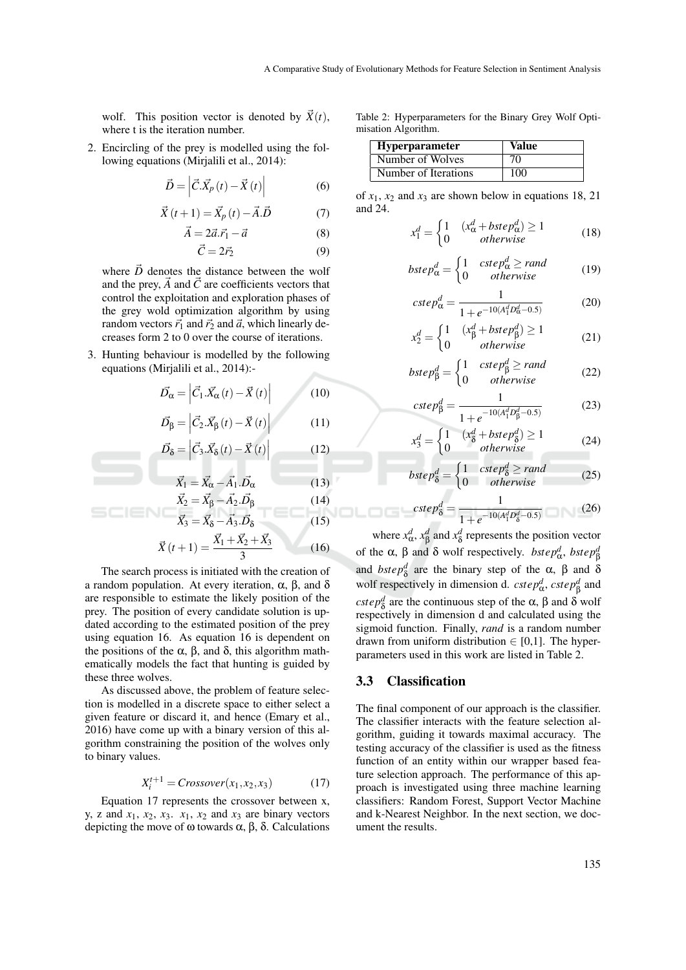wolf. This position vector is denoted by  $\vec{X}(t)$ , where t is the iteration number.

2. Encircling of the prey is modelled using the following equations (Mirjalili et al., 2014):

$$
\vec{D} = \left| \vec{C} \cdot \vec{X}_p \left( t \right) - \vec{X} \left( t \right) \right| \tag{6}
$$

$$
\vec{X}(t+1) = \vec{X}_p(t) - \vec{A} \cdot \vec{D} \tag{7}
$$

$$
\vec{A} = 2\vec{a}.\vec{r_1} - \vec{a} \tag{8}
$$

$$
\vec{C} = 2\vec{r}_2 \tag{9}
$$

where  $\vec{D}$  denotes the distance between the wolf and the prey,  $\vec{A}$  and  $\vec{C}$  are coefficients vectors that control the exploitation and exploration phases of the grey wold optimization algorithm by using random vectors  $\vec{r}_1$  and  $\vec{r}_2$  and  $\vec{a}$ , which linearly decreases form 2 to 0 over the course of iterations.

3. Hunting behaviour is modelled by the following equations (Mirjalili et al., 2014):-

$$
\vec{D}_{\alpha} = \left| \vec{C}_1 . \vec{X}_{\alpha} \left( t \right) - \vec{X} \left( t \right) \right| \tag{10}
$$

$$
\vec{D}_{\beta} = \left| \vec{C}_2 . \vec{X}_{\beta}(t) - \vec{X}(t) \right| \tag{11}
$$

$$
\vec{D}_{\delta} = \left| \vec{C}_{3} \cdot \vec{X}_{\delta}(t) - \vec{X}(t) \right| \tag{12}
$$

$$
\vec{X}_1 = \vec{X}_{\alpha} - \vec{A}_1 \cdot \vec{D}_{\alpha} \tag{13}
$$

$$
\vec{X}_2 = \vec{X}_{\beta} - \vec{A}_2 . \vec{D}_{\beta}
$$
\n(14)  
\n
$$
\vec{X}_3 = \vec{X}_\delta - \vec{A}_3 . \vec{D}_\delta
$$
\n(15)

$$
\vec{X}(t+1) = \frac{\vec{X}_1 + \vec{X}_2 + \vec{X}_3}{3}
$$
 (16)

The search process is initiated with the creation of a random population. At every iteration, α, β, and δ are responsible to estimate the likely position of the prey. The position of every candidate solution is updated according to the estimated position of the prey using equation 16. As equation 16 is dependent on the positions of the α, β, and δ, this algorithm mathematically models the fact that hunting is guided by these three wolves.

As discussed above, the problem of feature selection is modelled in a discrete space to either select a given feature or discard it, and hence (Emary et al., 2016) have come up with a binary version of this algorithm constraining the position of the wolves only to binary values.

$$
X_i^{t+1} = Crossover(x_1, x_2, x_3) \tag{17}
$$

Equation 17 represents the crossover between x, y, z and  $x_1$ ,  $x_2$ ,  $x_3$ ,  $x_1$ ,  $x_2$  and  $x_3$  are binary vectors depicting the move of ω towards α, β, δ. Calculations

Table 2: Hyperparameters for the Binary Grey Wolf Optimisation Algorithm.

| <b>Hyperparameter</b> | Value |
|-----------------------|-------|
| Number of Wolves      | 70    |
| Number of Iterations  | 100   |

of  $x_1$ ,  $x_2$  and  $x_3$  are shown below in equations 18, 21 and 24.

$$
x_1^d = \begin{cases} 1 & (x_\alpha^d + bstep_\alpha^d) \ge 1 \\ 0 & otherwise \end{cases} \tag{18}
$$

$$
bstep_{\alpha}^{d} = \begin{cases} 1 & cstep_{\alpha}^{d} \geq rand \\ 0 & otherwise \end{cases}
$$
 (19)

$$
cste p_{\alpha}^{d} = \frac{1}{1 + e^{-10(A_1^d D_{\alpha}^d - 0.5)}}
$$
(20)

$$
x_2^d = \begin{cases} 1 & (x_\beta^d + bstep_\beta^d) \ge 1 \\ 0 & otherwise \end{cases} \tag{21}
$$

$$
bstep_{\beta}^{d} = \begin{cases} 1 & cstep_{\beta}^{d} \geq rand \\ 0 & otherwise \end{cases}
$$
 (22)

$$
cste p_{\beta}^{d} = \frac{1}{1 + e^{-10(A_1^d D_{\beta}^d - 0.5)}}
$$
(23)

$$
x_3^d = \begin{cases} 1 & (x_8^d + bstep_8^d) \ge 1 \\ 0 & otherwise \end{cases} \tag{24}
$$

$$
bstep_8^d = \begin{cases} 1 & cstep_8^d \geq rand \\ 0 & otherwise \end{cases} \tag{25}
$$

$$
cstep_8^d = \frac{1}{1 + e^{-10(A_1^d D_8^d - 0.5)}}\tag{26}
$$

where  $x_{\alpha}^d$ ,  $x_{\beta}^d$  and  $x_{\delta}^d$  represents the position vector of the  $\alpha$ ,  $\beta$  and  $\delta$  wolf respectively. *bstep<sup>d</sup><sub>* $\beta$ *</sub> bstep<sup>d</sup><sub>* $\beta$ *</sub>* and *bstep*<sup>*d*</sup> are the binary step of the  $\alpha$ ,  $\beta$  and  $\delta$ wolf respectively in dimension d. *cstep*<sup>*d*</sup><sub>*a*</sub>, *cstep*<sup>*d*</sup><sub>*A*</sub> and *cstep*<sup>*d*</sup><sub> $\delta$ </sub> are the continuous step of the  $\alpha$ ,  $\beta$  and  $\delta$  wolf respectively in dimension d and calculated using the sigmoid function. Finally, *rand* is a random number drawn from uniform distribution  $\in$  [0,1]. The hyperparameters used in this work are listed in Table 2.

### 3.3 Classification

The final component of our approach is the classifier. The classifier interacts with the feature selection algorithm, guiding it towards maximal accuracy. The testing accuracy of the classifier is used as the fitness function of an entity within our wrapper based feature selection approach. The performance of this approach is investigated using three machine learning classifiers: Random Forest, Support Vector Machine and k-Nearest Neighbor. In the next section, we document the results.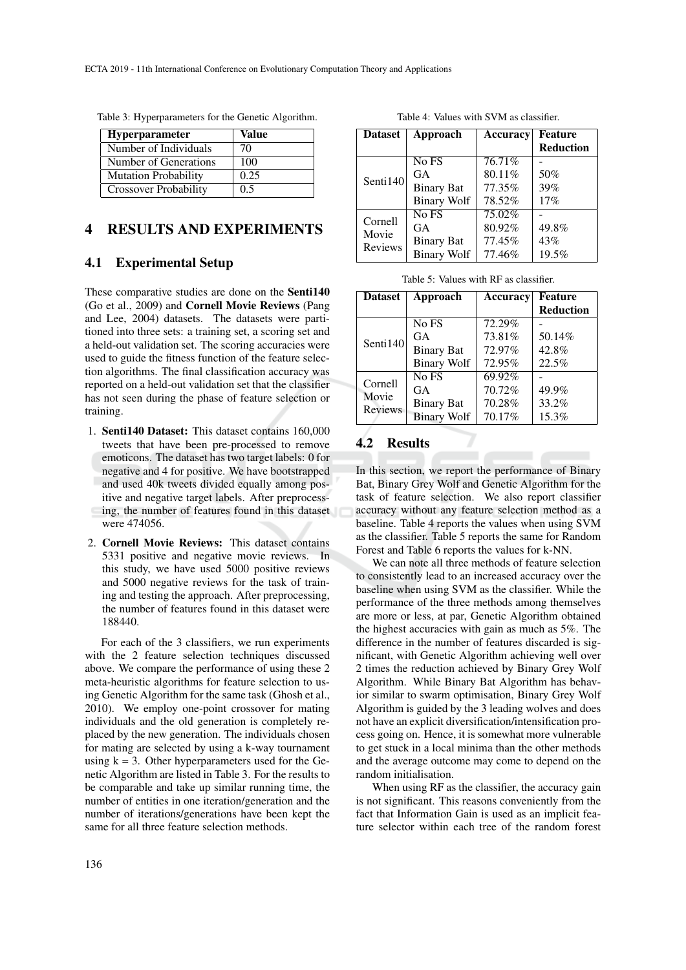| <b>Hyperparameter</b>        | Value |
|------------------------------|-------|
| Number of Individuals        | 70    |
| Number of Generations        | 100   |
| <b>Mutation Probability</b>  | 0.25  |
| <b>Crossover Probability</b> | 0.5   |

Table 3: Hyperparameters for the Genetic Algorithm.

### 4 RESULTS AND EXPERIMENTS

### 4.1 Experimental Setup

These comparative studies are done on the Senti140 (Go et al., 2009) and Cornell Movie Reviews (Pang and Lee, 2004) datasets. The datasets were partitioned into three sets: a training set, a scoring set and a held-out validation set. The scoring accuracies were used to guide the fitness function of the feature selection algorithms. The final classification accuracy was reported on a held-out validation set that the classifier has not seen during the phase of feature selection or training.

- 1. Senti140 Dataset: This dataset contains 160,000 tweets that have been pre-processed to remove emoticons. The dataset has two target labels: 0 for negative and 4 for positive. We have bootstrapped and used 40k tweets divided equally among positive and negative target labels. After preprocessing, the number of features found in this dataset were 474056.
- 2. Cornell Movie Reviews: This dataset contains 5331 positive and negative movie reviews. In this study, we have used 5000 positive reviews and 5000 negative reviews for the task of training and testing the approach. After preprocessing, the number of features found in this dataset were 188440.

For each of the 3 classifiers, we run experiments with the 2 feature selection techniques discussed above. We compare the performance of using these 2 meta-heuristic algorithms for feature selection to using Genetic Algorithm for the same task (Ghosh et al., 2010). We employ one-point crossover for mating individuals and the old generation is completely replaced by the new generation. The individuals chosen for mating are selected by using a k-way tournament using  $k = 3$ . Other hyperparameters used for the Genetic Algorithm are listed in Table 3. For the results to be comparable and take up similar running time, the number of entities in one iteration/generation and the number of iterations/generations have been kept the same for all three feature selection methods.

Table 4: Values with SVM as classifier.

| <b>Dataset</b>              | Approach           | Accuracy | Feature          |
|-----------------------------|--------------------|----------|------------------|
|                             |                    |          | <b>Reduction</b> |
| Senti140                    | No FS              | 76.71%   |                  |
|                             | GA                 | 80.11%   | 50%              |
|                             | <b>Binary Bat</b>  | 77.35%   | 39%              |
|                             | <b>Binary Wolf</b> | 78.52%   | 17%              |
| Cornell<br>Movie<br>Reviews | No FS              | 75.02%   |                  |
|                             | GA                 | 80.92%   | 49.8%            |
|                             | <b>Binary Bat</b>  | 77.45%   | 43%              |
|                             | <b>Binary Wolf</b> | 77.46%   | 19.5%            |

| <b>Dataset</b>                     | Approach           | Accuracy | <b>Feature</b>   |
|------------------------------------|--------------------|----------|------------------|
|                                    |                    |          | <b>Reduction</b> |
| Senti $140$                        | No FS              | 72.29%   |                  |
|                                    | GA                 | 73.81%   | 50.14%           |
|                                    | <b>Binary Bat</b>  | 72.97%   | 42.8%            |
|                                    | <b>Binary Wolf</b> | 72.95%   | 22.5%            |
| Cornell<br>Movie<br><b>Reviews</b> | No FS              | 69.92%   |                  |
|                                    | GA                 | 70.72%   | 49.9%            |
|                                    | <b>Binary Bat</b>  | 70.28%   | 33.2%            |
|                                    | <b>Binary Wolf</b> | 70.17%   | 15.3%            |

### 4.2 Results

In this section, we report the performance of Binary Bat, Binary Grey Wolf and Genetic Algorithm for the task of feature selection. We also report classifier accuracy without any feature selection method as a baseline. Table 4 reports the values when using SVM as the classifier. Table 5 reports the same for Random Forest and Table 6 reports the values for k-NN.

We can note all three methods of feature selection to consistently lead to an increased accuracy over the baseline when using SVM as the classifier. While the performance of the three methods among themselves are more or less, at par, Genetic Algorithm obtained the highest accuracies with gain as much as 5%. The difference in the number of features discarded is significant, with Genetic Algorithm achieving well over 2 times the reduction achieved by Binary Grey Wolf Algorithm. While Binary Bat Algorithm has behavior similar to swarm optimisation, Binary Grey Wolf Algorithm is guided by the 3 leading wolves and does not have an explicit diversification/intensification process going on. Hence, it is somewhat more vulnerable to get stuck in a local minima than the other methods and the average outcome may come to depend on the random initialisation.

When using RF as the classifier, the accuracy gain is not significant. This reasons conveniently from the fact that Information Gain is used as an implicit feature selector within each tree of the random forest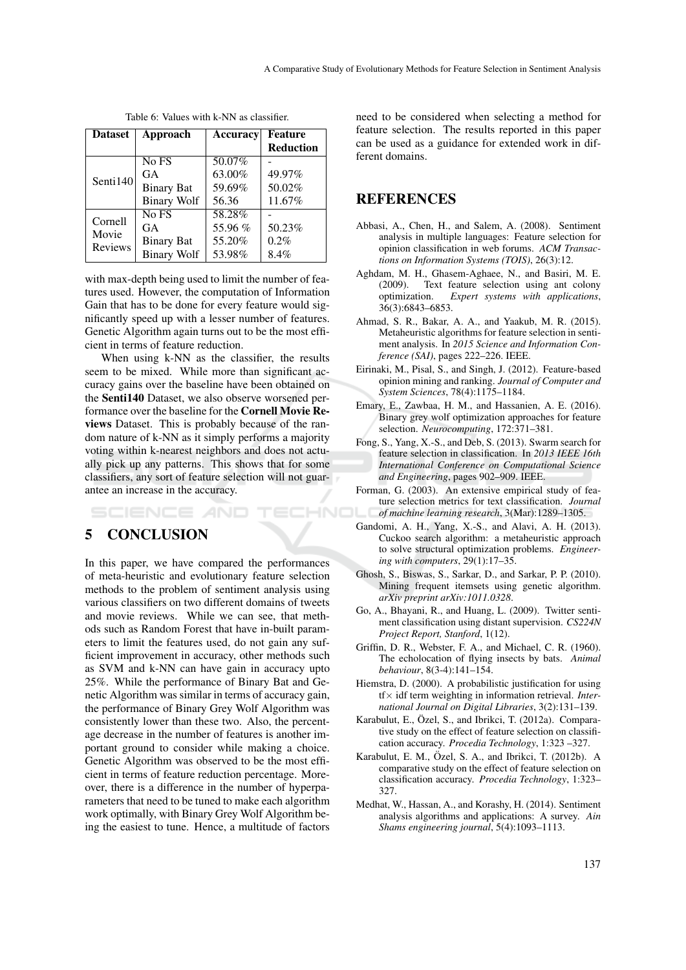| <b>Dataset</b>                     | Approach           | <b>Accuracy</b> | <b>Feature</b>   |
|------------------------------------|--------------------|-----------------|------------------|
|                                    |                    |                 | <b>Reduction</b> |
| Senti140                           | No FS              | 50.07%          |                  |
|                                    | GA                 | 63.00%          | 49.97%           |
|                                    | <b>Binary Bat</b>  | 59.69%          | 50.02%           |
|                                    | <b>Binary Wolf</b> | 56.36           | 11.67%           |
| Cornell<br>Movie<br><b>Reviews</b> | No FS              | 58.28%          |                  |
|                                    | GA                 | 55.96 %         | 50.23%           |
|                                    | <b>Binary Bat</b>  | 55.20%          | 0.2%             |
|                                    | <b>Binary Wolf</b> | 53.98%          | 8.4%             |

Table 6: Values with k-NN as classifier.

with max-depth being used to limit the number of features used. However, the computation of Information Gain that has to be done for every feature would significantly speed up with a lesser number of features. Genetic Algorithm again turns out to be the most efficient in terms of feature reduction.

When using k-NN as the classifier, the results seem to be mixed. While more than significant accuracy gains over the baseline have been obtained on the Senti140 Dataset, we also observe worsened performance over the baseline for the Cornell Movie Reviews Dataset. This is probably because of the random nature of k-NN as it simply performs a majority voting within k-nearest neighbors and does not actually pick up any patterns. This shows that for some classifiers, any sort of feature selection will not guarantee an increase in the accuracy.

**ECHNO** 

SCIENCE *A*ND

## 5 CONCLUSION

In this paper, we have compared the performances of meta-heuristic and evolutionary feature selection methods to the problem of sentiment analysis using various classifiers on two different domains of tweets and movie reviews. While we can see, that methods such as Random Forest that have in-built parameters to limit the features used, do not gain any sufficient improvement in accuracy, other methods such as SVM and k-NN can have gain in accuracy upto 25%. While the performance of Binary Bat and Genetic Algorithm was similar in terms of accuracy gain, the performance of Binary Grey Wolf Algorithm was consistently lower than these two. Also, the percentage decrease in the number of features is another important ground to consider while making a choice. Genetic Algorithm was observed to be the most efficient in terms of feature reduction percentage. Moreover, there is a difference in the number of hyperparameters that need to be tuned to make each algorithm work optimally, with Binary Grey Wolf Algorithm being the easiest to tune. Hence, a multitude of factors

need to be considered when selecting a method for feature selection. The results reported in this paper can be used as a guidance for extended work in different domains.

### REFERENCES

- Abbasi, A., Chen, H., and Salem, A. (2008). Sentiment analysis in multiple languages: Feature selection for opinion classification in web forums. *ACM Transactions on Information Systems (TOIS)*, 26(3):12.
- Aghdam, M. H., Ghasem-Aghaee, N., and Basiri, M. E. (2009). Text feature selection using ant colony optimization. *Expert systems with applications*, 36(3):6843–6853.
- Ahmad, S. R., Bakar, A. A., and Yaakub, M. R. (2015). Metaheuristic algorithms for feature selection in sentiment analysis. In *2015 Science and Information Conference (SAI)*, pages 222–226. IEEE.
- Eirinaki, M., Pisal, S., and Singh, J. (2012). Feature-based opinion mining and ranking. *Journal of Computer and System Sciences*, 78(4):1175–1184.
- Emary, E., Zawbaa, H. M., and Hassanien, A. E. (2016). Binary grey wolf optimization approaches for feature selection. *Neurocomputing*, 172:371–381.
- Fong, S., Yang, X.-S., and Deb, S. (2013). Swarm search for feature selection in classification. In *2013 IEEE 16th International Conference on Computational Science and Engineering*, pages 902–909. IEEE.
- Forman, G. (2003). An extensive empirical study of feature selection metrics for text classification. *Journal of machine learning research*, 3(Mar):1289–1305.
- Gandomi, A. H., Yang, X.-S., and Alavi, A. H. (2013). Cuckoo search algorithm: a metaheuristic approach to solve structural optimization problems. *Engineering with computers*, 29(1):17–35.
- Ghosh, S., Biswas, S., Sarkar, D., and Sarkar, P. P. (2010). Mining frequent itemsets using genetic algorithm. *arXiv preprint arXiv:1011.0328*.
- Go, A., Bhayani, R., and Huang, L. (2009). Twitter sentiment classification using distant supervision. *CS224N Project Report, Stanford*, 1(12).
- Griffin, D. R., Webster, F. A., and Michael, C. R. (1960). The echolocation of flying insects by bats. *Animal behaviour*, 8(3-4):141–154.
- Hiemstra, D. (2000). A probabilistic justification for using tf× idf term weighting in information retrieval. *International Journal on Digital Libraries*, 3(2):131–139.
- Karabulut, E., Özel, S., and Ibrikci, T. (2012a). Comparative study on the effect of feature selection on classification accuracy. *Procedia Technology*, 1:323 –327.
- Karabulut, E. M., Özel, S. A., and Ibrikci, T.  $(2012b)$ . A comparative study on the effect of feature selection on classification accuracy. *Procedia Technology*, 1:323– 327.
- Medhat, W., Hassan, A., and Korashy, H. (2014). Sentiment analysis algorithms and applications: A survey. *Ain Shams engineering journal*, 5(4):1093–1113.